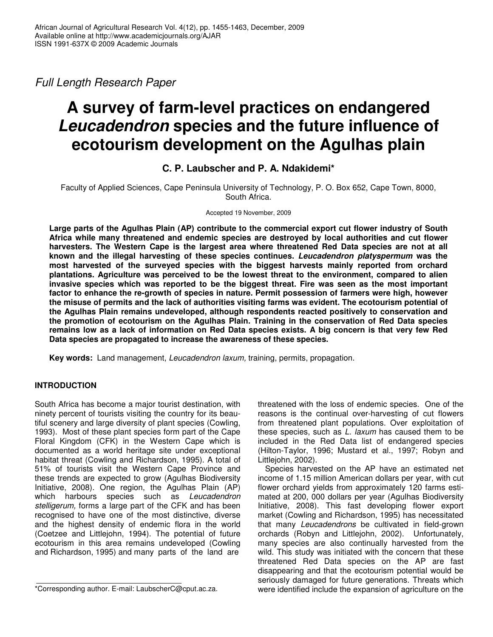*Full Length Research Paper*

# **A survey of farm-level practices on endangered** *Leucadendron* **species and the future influence of ecotourism development on the Agulhas plain**

# **C. P. Laubscher and P. A. Ndakidemi\***

Faculty of Applied Sciences, Cape Peninsula University of Technology, P. O. Box 652, Cape Town, 8000, South Africa.

Accepted 19 November, 2009

**Large parts of the Agulhas Plain (AP) contribute to the commercial export cut flower industry of South Africa while many threatened and endemic species are destroyed by local authorities and cut flower harvesters. The Western Cape is the largest area where threatened Red Data species are not at all known and the illegal harvesting of these species continues.** *Leucadendron platyspermum* **was the most harvested of the surveyed species with the biggest harvests mainly reported from orchard plantations. Agriculture was perceived to be the lowest threat to the environment, compared to alien invasive species which was reported to be the biggest threat. Fire was seen as the most important factor to enhance the re-growth of species in nature. Permit possession of farmers were high, however the misuse of permits and the lack of authorities visiting farms was evident. The ecotourism potential of the Agulhas Plain remains undeveloped, although respondents reacted positively to conservation and the promotion of ecotourism on the Agulhas Plain. Training in the conservation of Red Data species** remains low as a lack of information on Red Data species exists. A big concern is that very few Red **Data species are propagated to increase the awareness of these species.**

**Key words:** Land management, *Leucadendron laxum,* training, permits, propagation.

# **INTRODUCTION**

South Africa has become a major tourist destination, with ninety percent of tourists visiting the country for its beautiful scenery and large diversity of plant species (Cowling, 1993). Most of these plant species form part of the Cape Floral Kingdom (CFK) in the Western Cape which is documented as a world heritage site under exceptional habitat threat (Cowling and Richardson, 1995). A total of 51% of tourists visit the Western Cape Province and these trends are expected to grow (Agulhas Biodiversity Initiative, 2008). One region, the Agulhas Plain (AP) which harbours species such as *Leucadendron stelligerum,* forms a large part of the CFK and has been recognised to have one of the most distinctive, diverse and the highest density of endemic flora in the world (Coetzee and Littlejohn, 1994). The potential of future ecotourism in this area remains undeveloped (Cowling and Richardson, 1995) and many parts of the land are

threatened with the loss of endemic species. One of the reasons is the continual over-harvesting of cut flowers from threatened plant populations. Over exploitation of these species, such as *L. laxum* has caused them to be included in the Red Data list of endangered species (Hilton-Taylor, 1996; Mustard et al., 1997; Robyn and Littlejohn, 2002).

Species harvested on the AP have an estimated net income of 1.15 million American dollars per year, with cut flower orchard yields from approximately 120 farms estimated at 200, 000 dollars per year (Agulhas Biodiversity Initiative, 2008). This fast developing flower export market (Cowling and Richardson, 1995) has necessitated that many *Leucadendrons* be cultivated in field-grown orchards (Robyn and Littlejohn, 2002). Unfortunately, many species are also continually harvested from the wild. This study was initiated with the concern that these threatened Red Data species on the AP are fast disappearing and that the ecotourism potential would be seriously damaged for future generations. Threats which were identified include the expansion of agriculture on the

<sup>\*</sup>Corresponding author. E-mail: LaubscherC@cput.ac.za.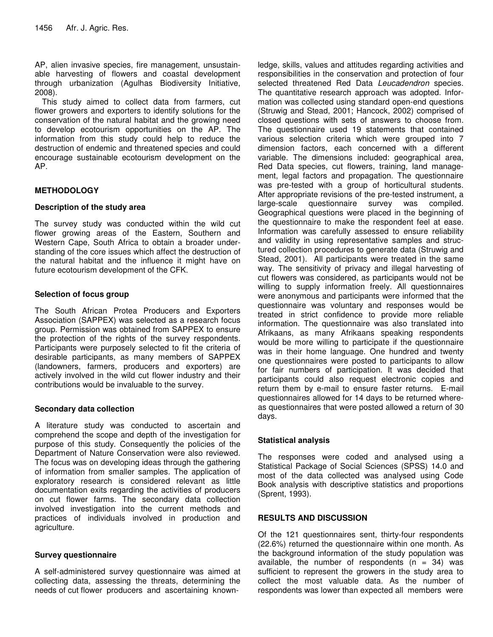AP, alien invasive species, fire management, unsustainable harvesting of flowers and coastal development through urbanization (Agulhas Biodiversity Initiative, 2008).

This study aimed to collect data from farmers, cut flower growers and exporters to identify solutions for the conservation of the natural habitat and the growing need to develop ecotourism opportunities on the AP. The information from this study could help to reduce the destruction of endemic and threatened species and could encourage sustainable ecotourism development on the AP.

# **METHODOLOGY**

#### **Description of the study area**

The survey study was conducted within the wild cut flower growing areas of the Eastern, Southern and Western Cape, South Africa to obtain a broader understanding of the core issues which affect the destruction of the natural habitat and the influence it might have on future ecotourism development of the CFK.

# **Selection of focus group**

The South African Protea Producers and Exporters Association (SAPPEX) was selected as a research focus group. Permission was obtained from SAPPEX to ensure the protection of the rights of the survey respondents. Participants were purposely selected to fit the criteria of desirable participants, as many members of SAPPEX (landowners, farmers, producers and exporters) are actively involved in the wild cut flower industry and their contributions would be invaluable to the survey.

#### **Secondary data collection**

A literature study was conducted to ascertain and comprehend the scope and depth of the investigation for purpose of this study. Consequently the policies of the Department of Nature Conservation were also reviewed. The focus was on developing ideas through the gathering of information from smaller samples. The application of exploratory research is considered relevant as little documentation exits regarding the activities of producers on cut flower farms. The secondary data collection involved investigation into the current methods and practices of individuals involved in production and agriculture.

#### **Survey questionnaire**

A self-administered survey questionnaire was aimed at collecting data, assessing the threats, determining the needs of cut flower producers and ascertaining known-

ledge, skills, values and attitudes regarding activities and responsibilities in the conservation and protection of four selected threatened Red Data *Leucadendron* species. The quantitative research approach was adopted. Information was collected using standard open-end questions (Struwig and Stead, 2001; Hancock, 2002) comprised of closed questions with sets of answers to choose from. The questionnaire used 19 statements that contained various selection criteria which were grouped into 7 dimension factors, each concerned with a different variable. The dimensions included: geographical area, Red Data species, cut flowers, training, land management, legal factors and propagation. The questionnaire was pre-tested with a group of horticultural students. After appropriate revisions of the pre-tested instrument, a large-scale questionnaire survey was compiled. Geographical questions were placed in the beginning of the questionnaire to make the respondent feel at ease. Information was carefully assessed to ensure reliability and validity in using representative samples and structured collection procedures to generate data (Struwig and Stead, 2001). All participants were treated in the same way. The sensitivity of privacy and illegal harvesting of cut flowers was considered, as participants would not be willing to supply information freely. All questionnaires were anonymous and participants were informed that the questionnaire was voluntary and responses would be treated in strict confidence to provide more reliable information. The questionnaire was also translated into Afrikaans, as many Afrikaans speaking respondents would be more willing to participate if the questionnaire was in their home language. One hundred and twenty one questionnaires were posted to participants to allow for fair numbers of participation. It was decided that participants could also request electronic copies and return them by e-mail to ensure faster returns. E-mail questionnaires allowed for 14 days to be returned whereas questionnaires that were posted allowed a return of 30 days.

# **Statistical analysis**

The responses were coded and analysed using a Statistical Package of Social Sciences (SPSS) 14.0 and most of the data collected was analysed using Code Book analysis with descriptive statistics and proportions (Sprent, 1993).

#### **RESULTS AND DISCUSSION**

Of the 121 questionnaires sent, thirty-four respondents (22.6%) returned the questionnaire within one month. As the background information of the study population was available, the number of respondents  $(n = 34)$  was sufficient to represent the growers in the study area to collect the most valuable data. As the number of respondents was lower than expected all members were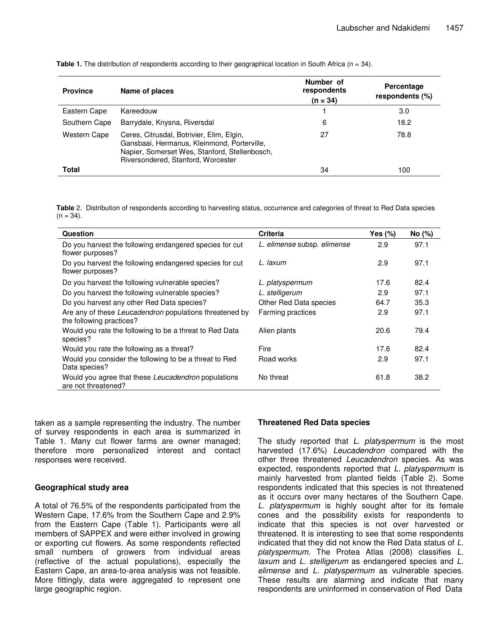| <b>Province</b>     | Name of places                                                                                                                                                                  | Number of<br>respondents<br>$(n = 34)$ | Percentage<br>respondents (%) |
|---------------------|---------------------------------------------------------------------------------------------------------------------------------------------------------------------------------|----------------------------------------|-------------------------------|
| Eastern Cape        | Kareedouw                                                                                                                                                                       |                                        | 3.0                           |
| Southern Cape       | Barrydale, Knysna, Riversdal                                                                                                                                                    | 6                                      | 18.2                          |
| <b>Western Cape</b> | Ceres, Citrusdal, Botrivier, Elim, Elgin,<br>Gansbaai, Hermanus, Kleinmond, Porterville,<br>Napier, Somerset Wes, Stanford, Stellenbosch,<br>Riversondered, Stanford, Worcester | 27                                     | 78.8                          |
| <b>Total</b>        |                                                                                                                                                                                 | 34                                     | 100                           |

**Table 1.** The distribution of respondents according to their geographical location in South Africa (n = 34).

**Table** 2. Distribution of respondents according to harvesting status, occurrence and categories of threat to Red Data species  $(n = 34)$ .

| Question                                                                            | <b>Criteria</b>             | Yes $(\%)$ | No (%) |
|-------------------------------------------------------------------------------------|-----------------------------|------------|--------|
| Do you harvest the following endangered species for cut<br>flower purposes?         | L. elimense subsp. elimense | 2.9        | 97.1   |
| Do you harvest the following endangered species for cut<br>flower purposes?         | L. laxum                    | 2.9        | 97.1   |
| Do you harvest the following vulnerable species?                                    | L. platyspermum             | 17.6       | 82.4   |
| Do you harvest the following vulnerable species?                                    | L. stelligerum              | 2.9        | 97.1   |
| Do you harvest any other Red Data species?                                          | Other Red Data species      | 64.7       | 35.3   |
| Are any of these Leucadendron populations threatened by<br>the following practices? | Farming practices           | 2.9        | 97.1   |
| Would you rate the following to be a threat to Red Data<br>species?                 | Alien plants                | 20.6       | 79.4   |
| Would you rate the following as a threat?                                           | Fire                        | 17.6       | 82.4   |
| Would you consider the following to be a threat to Red<br>Data species?             | Road works                  | 2.9        | 97.1   |
| Would you agree that these Leucadendron populations<br>are not threatened?          | No threat                   | 61.8       | 38.2   |

taken as a sample representing the industry. The number of survey respondents in each area is summarized in Table 1. Many cut flower farms are owner managed; therefore more personalized interest and contact responses were received.

#### **Geographical study area**

A total of 76.5% of the respondents participated from the Western Cape, 17.6% from the Southern Cape and 2.9% from the Eastern Cape (Table 1). Participants were all members of SAPPEX and were either involved in growing or exporting cut flowers. As some respondents reflected small numbers of growers from individual areas (reflective of the actual populations), especially the Eastern Cape, an area-to-area analysis was not feasible. More fittingly, data were aggregated to represent one large geographic region.

#### **Threatened Red Data species**

The study reported that *L. platyspermum* is the most harvested (17.6%) *Leucadendron* compared with the other three threatened *Leucadendron* species. As was expected, respondents reported that *L. platyspermum* is mainly harvested from planted fields (Table 2). Some respondents indicated that this species is not threatened as it occurs over many hectares of the Southern Cape. *L. platyspermum* is highly sought after for its female cones and the possibility exists for respondents to indicate that this species is not over harvested or threatened. It is interesting to see that some respondents indicated that they did not know the Red Data status of *L. platyspermum.* The Protea Atlas (2008) classifies *L. laxum* and *L. stelligerum* as endangered species and *L. elimense* and *L. platyspermum* as vulnerable species. These results are alarming and indicate that many respondents are uninformed in conservation of Red Data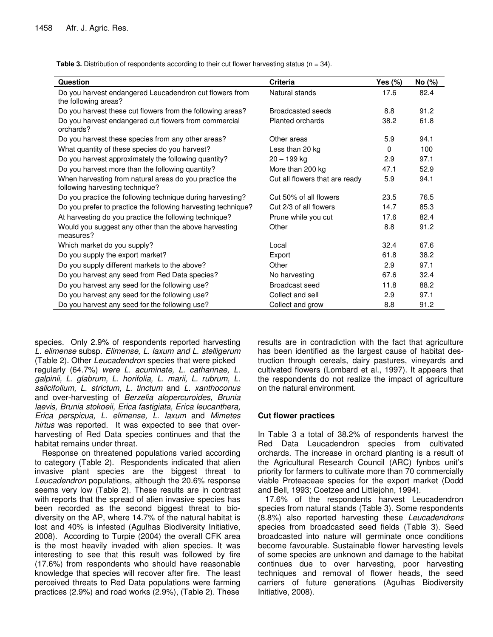**Question Criteria Yes (%) No (%)** Do you harvest endangered Leucadendron cut flowers from the following areas? Natural stands 17.6 82.4 Do you harvest these cut flowers from the following areas? Broadcasted seeds 8.8 91.2 Do you harvest endangered cut flowers from commercial orchards? Planted orchards 38.2 61.8 Do you harvest these species from any other areas? Other areas 5.9 94.1 What quantity of these species do you harvest? Less than 20 kg 0 100 100 Do you harvest approximately the following quantity? 20 – 199 kg 2.9 97.1 Do you harvest more than the following quantity? More than 200 kg 47.1 52.9 When harvesting from natural areas do you practice the following harvesting technique? Cut all flowers that are ready 5.9 94.1 Do you practice the following technique during harvesting? Cut 50% of all flowers 23.5 76.5 Do you prefer to practice the following harvesting technique? Cut 2/3 of all flowers 14.7 85.3 At harvesting do you practice the following technique? Prune while you cut 17.6 82.4 Would you suggest any other than the above harvesting measures? Other 8.8 91.2 Which market do you supply? The Contract of the Contract Local COME 202.4 67.6 Do you supply the export market? Export 61.8 38.2 Do you supply different markets to the above? Cher Cherral Communication of the 2.9 97.1 Do you harvest any seed from Red Data species? No harvesting 67.6 32.4 Do you harvest any seed for the following use? Broadcast seed 11.8 88.2 Do you harvest any seed for the following use? Collect and sell 2.9 97.1 Do you harvest any seed for the following use? Collect and grow 8.8 91.2

**Table 3.** Distribution of respondents according to their cut flower harvesting status (n = 34).

species. Only 2.9% of respondents reported harvesting *L. elimense* subsp. *Elimense, L. laxum and L. stelligerum* (Table 2). Other *Leucadendron* species that were picked regularly (64.7%) *were L. acuminate, L. catharinae, L. galpinii, L. glabrum, L. horifolia, L. marii, L. rubrum, L. salicifolium, L. strictum, L. tinctum* and *L. xanthoconus* and over-harvesting of *Berzelia alopercuroides, Brunia laevis, Brunia stokoeii, Erica fastigiata, Erica leucanthera, Erica perspicua, L. elimense, L. laxum* and *Mimetes hirtus* was reported. It was expected to see that overharvesting of Red Data species continues and that the habitat remains under threat.

Response on threatened populations varied according to category (Table 2). Respondents indicated that alien invasive plant species are the biggest threat to *Leucadendron* populations, although the 20.6% response seems very low (Table 2). These results are in contrast with reports that the spread of alien invasive species has been recorded as the second biggest threat to biodiversity on the AP, where 14.7% of the natural habitat is lost and 40% is infested (Agulhas Biodiversity Initiative, 2008). According to Turpie (2004) the overall CFK area is the most heavily invaded with alien species. It was interesting to see that this result was followed by fire (17.6%) from respondents who should have reasonable knowledge that species will recover after fire. The least perceived threats to Red Data populations were farming practices (2.9%) and road works (2.9%), (Table 2). These

results are in contradiction with the fact that agriculture has been identified as the largest cause of habitat destruction through cereals, dairy pastures, vineyards and cultivated flowers (Lombard et al., 1997). It appears that the respondents do not realize the impact of agriculture on the natural environment.

#### **Cut flower practices**

In Table 3 a total of 38.2% of respondents harvest the Red Data Leucadendron species from cultivated orchards. The increase in orchard planting is a result of the Agricultural Research Council (ARC) fynbos unit's priority for farmers to cultivate more than 70 commercially viable Proteaceae species for the export market (Dodd and Bell, 1993; Coetzee and Littlejohn, 1994).

17.6% of the respondents harvest Leucadendron species from natural stands (Table 3). Some respondents (8.8%) also reported harvesting these *Leucadendrons* species from broadcasted seed fields (Table 3). Seed broadcasted into nature will germinate once conditions become favourable. Sustainable flower harvesting levels of some species are unknown and damage to the habitat continues due to over harvesting, poor harvesting techniques and removal of flower heads, the seed carriers of future generations (Agulhas Biodiversity Initiative, 2008).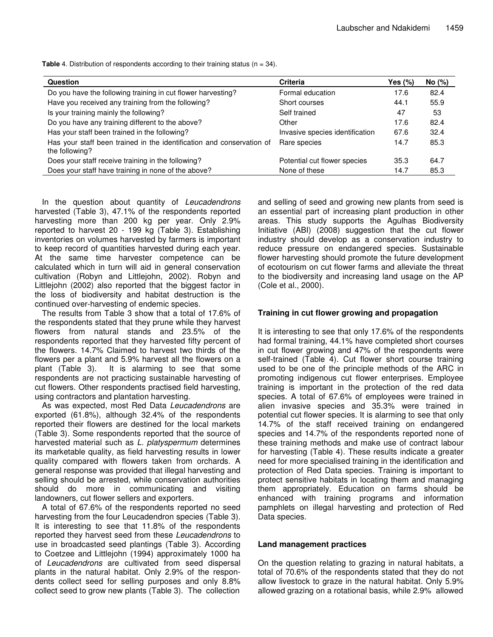| <b>Question</b>                                                                         | <b>Criteria</b>                 | Yes (%) | No (%) |
|-----------------------------------------------------------------------------------------|---------------------------------|---------|--------|
| Do you have the following training in cut flower harvesting?                            | Formal education                | 17.6    | 82.4   |
| Have you received any training from the following?                                      | Short courses                   | 44.1    | 55.9   |
| Is your training mainly the following?                                                  | Self trained                    | 47      | 53     |
| Do you have any training different to the above?                                        | Other                           | 17.6    | 82.4   |
| Has your staff been trained in the following?                                           | Invasive species identification | 67.6    | 32.4   |
| Has your staff been trained in the identification and conservation of<br>the following? | Rare species                    | 14.7    | 85.3   |
| Does your staff receive training in the following?                                      | Potential cut flower species    | 35.3    | 64.7   |
| Does your staff have training in none of the above?                                     | None of these                   | 14.7    | 85.3   |

**Table** 4. Distribution of respondents according to their training status (n = 34).

In the question about quantity of *Leucadendrons* harvested (Table 3), 47.1% of the respondents reported harvesting more than 200 kg per year. Only 2.9% reported to harvest 20 - 199 kg (Table 3). Establishing inventories on volumes harvested by farmers is important to keep record of quantities harvested during each year. At the same time harvester competence can be calculated which in turn will aid in general conservation cultivation (Robyn and Littlejohn, 2002). Robyn and Littlejohn (2002) also reported that the biggest factor in the loss of biodiversity and habitat destruction is the continued over-harvesting of endemic species.

The results from Table 3 show that a total of 17.6% of the respondents stated that they prune while they harvest flowers from natural stands and 23.5% of the respondents reported that they harvested fifty percent of the flowers. 14.7% Claimed to harvest two thirds of the flowers per a plant and 5.9% harvest all the flowers on a plant (Table 3). It is alarming to see that some respondents are not practicing sustainable harvesting of cut flowers. Other respondents practised field harvesting, using contractors and plantation harvesting.

As was expected, most Red Data *Leucadendrons* are exported (61.8%), although 32.4% of the respondents reported their flowers are destined for the local markets (Table 3). Some respondents reported that the source of harvested material such as *L. platyspermum* determines its marketable quality, as field harvesting results in lower quality compared with flowers taken from orchards. A general response was provided that illegal harvesting and selling should be arrested, while conservation authorities should do more in communicating and visiting landowners, cut flower sellers and exporters.

A total of 67.6% of the respondents reported no seed harvesting from the four Leucadendron species (Table 3). It is interesting to see that 11.8% of the respondents reported they harvest seed from these *Leucadendrons* to use in broadcasted seed plantings (Table 3). According to Coetzee and Littlejohn (1994) approximately 1000 ha of *Leucadendrons* are cultivated from seed dispersal plants in the natural habitat. Only 2.9% of the respondents collect seed for selling purposes and only 8.8% collect seed to grow new plants (Table 3). The collection

and selling of seed and growing new plants from seed is an essential part of increasing plant production in other areas. This study supports the Agulhas Biodiversity Initiative (ABI) (2008) suggestion that the cut flower industry should develop as a conservation industry to reduce pressure on endangered species. Sustainable flower harvesting should promote the future development of ecotourism on cut flower farms and alleviate the threat to the biodiversity and increasing land usage on the AP (Cole et al., 2000).

# **Training in cut flower growing and propagation**

It is interesting to see that only 17.6% of the respondents had formal training, 44.1% have completed short courses in cut flower growing and 47% of the respondents were self-trained (Table 4). Cut flower short course training used to be one of the principle methods of the ARC in promoting indigenous cut flower enterprises. Employee training is important in the protection of the red data species. A total of 67.6% of employees were trained in alien invasive species and 35.3% were trained in potential cut flower species. It is alarming to see that only 14.7% of the staff received training on endangered species and 14.7% of the respondents reported none of these training methods and make use of contract labour for harvesting (Table 4). These results indicate a greater need for more specialised training in the identification and protection of Red Data species. Training is important to protect sensitive habitats in locating them and managing them appropriately. Education on farms should be enhanced with training programs and information pamphlets on illegal harvesting and protection of Red Data species.

#### **Land management practices**

On the question relating to grazing in natural habitats, a total of 70.6% of the respondents stated that they do not allow livestock to graze in the natural habitat. Only 5.9% allowed grazing on a rotational basis, while 2.9% allowed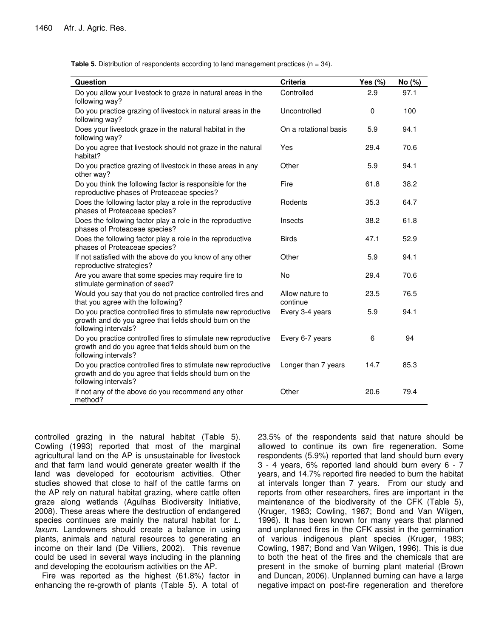**Table 5.** Distribution of respondents according to land management practices (n = 34).

| Question                                                                                                                                         | <b>Criteria</b>             | Yes $(\%)$ | No (%) |
|--------------------------------------------------------------------------------------------------------------------------------------------------|-----------------------------|------------|--------|
| Do you allow your livestock to graze in natural areas in the<br>following way?                                                                   | Controlled                  | 2.9        | 97.1   |
| Do you practice grazing of livestock in natural areas in the<br>following way?                                                                   | Uncontrolled                | $\Omega$   | 100    |
| Does your livestock graze in the natural habitat in the<br>following way?                                                                        | On a rotational basis       | 5.9        | 94.1   |
| Do you agree that livestock should not graze in the natural<br>habitat?                                                                          | Yes                         | 29.4       | 70.6   |
| Do you practice grazing of livestock in these areas in any<br>other way?                                                                         | Other                       | 5.9        | 94.1   |
| Do you think the following factor is responsible for the<br>reproductive phases of Proteaceae species?                                           | Fire                        | 61.8       | 38.2   |
| Does the following factor play a role in the reproductive<br>phases of Proteaceae species?                                                       | Rodents                     | 35.3       | 64.7   |
| Does the following factor play a role in the reproductive<br>phases of Proteaceae species?                                                       | Insects                     | 38.2       | 61.8   |
| Does the following factor play a role in the reproductive<br>phases of Proteaceae species?                                                       | <b>Birds</b>                | 47.1       | 52.9   |
| If not satisfied with the above do you know of any other<br>reproductive strategies?                                                             | Other                       | 5.9        | 94.1   |
| Are you aware that some species may require fire to<br>stimulate germination of seed?                                                            | <b>No</b>                   | 29.4       | 70.6   |
| Would you say that you do not practice controlled fires and<br>that you agree with the following?                                                | Allow nature to<br>continue | 23.5       | 76.5   |
| Do you practice controlled fires to stimulate new reproductive<br>growth and do you agree that fields should burn on the<br>following intervals? | Every 3-4 years             | 5.9        | 94.1   |
| Do you practice controlled fires to stimulate new reproductive<br>growth and do you agree that fields should burn on the<br>following intervals? | Every 6-7 years             | 6          | 94     |
| Do you practice controlled fires to stimulate new reproductive<br>growth and do you agree that fields should burn on the<br>following intervals? | Longer than 7 years         | 14.7       | 85.3   |
| If not any of the above do you recommend any other<br>method?                                                                                    | Other                       | 20.6       | 79.4   |

controlled grazing in the natural habitat (Table 5). Cowling (1993) reported that most of the marginal agricultural land on the AP is unsustainable for livestock and that farm land would generate greater wealth if the land was developed for ecotourism activities. Other studies showed that close to half of the cattle farms on the AP rely on natural habitat grazing, where cattle often graze along wetlands (Agulhas Biodiversity Initiative, 2008). These areas where the destruction of endangered species continues are mainly the natural habitat for *L. laxum*. Landowners should create a balance in using plants, animals and natural resources to generating an income on their land (De Villiers, 2002). This revenue could be used in several ways including in the planning and developing the ecotourism activities on the AP.

Fire was reported as the highest (61.8%) factor in enhancing the re-growth of plants (Table 5). A total of

23.5% of the respondents said that nature should be allowed to continue its own fire regeneration. Some respondents (5.9%) reported that land should burn every 3 - 4 years, 6% reported land should burn every 6 - 7 years, and 14.7% reported fire needed to burn the habitat at intervals longer than 7 years. From our study and reports from other researchers, fires are important in the maintenance of the biodiversity of the CFK (Table 5), (Kruger, 1983; Cowling, 1987; Bond and Van Wilgen, 1996). It has been known for many years that planned and unplanned fires in the CFK assist in the germination of various indigenous plant species (Kruger, 1983; Cowling, 1987; Bond and Van Wilgen, 1996). This is due to both the heat of the fires and the chemicals that are present in the smoke of burning plant material (Brown and Duncan, 2006). Unplanned burning can have a large negative impact on post-fire regeneration and therefore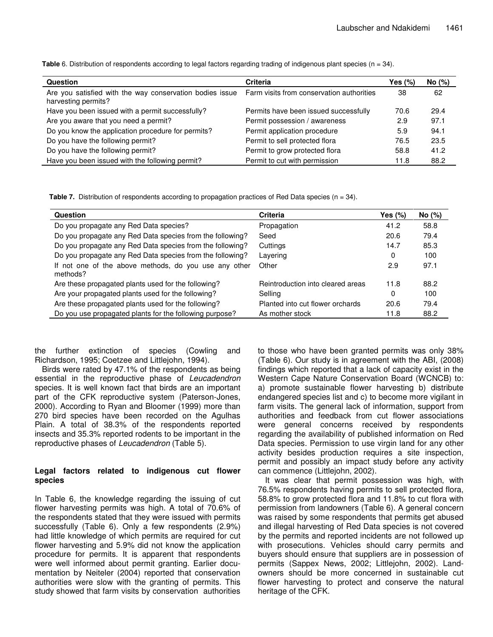**Table** 6. Distribution of respondents according to legal factors regarding trading of indigenous plant species (n = 34).

| Question                                                                                                                  | <b>Criteria</b>                       | Yes $(\%)$ | No (%) |
|---------------------------------------------------------------------------------------------------------------------------|---------------------------------------|------------|--------|
| Are you satisfied with the way conservation bodies issue Farm visits from conservation authorities<br>harvesting permits? |                                       | 38         | 62     |
| Have you been issued with a permit successfully?                                                                          | Permits have been issued successfully | 70.6       | 29.4   |
| Are you aware that you need a permit?                                                                                     | Permit possession / awareness         | 2.9        | 97.1   |
| Do you know the application procedure for permits?                                                                        | Permit application procedure          | 5.9        | 94.1   |
| Do you have the following permit?                                                                                         | Permit to sell protected flora        | 76.5       | 23.5   |
| Do you have the following permit?                                                                                         | Permit to grow protected flora        | 58.8       | 41.2   |
| Have you been issued with the following permit?                                                                           | Permit to cut with permission         | 11.8       | 88.2   |

**Table 7.** Distribution of respondents according to propagation practices of Red Data species (n = 34).

| <b>Question</b>                                                   | <b>Criteria</b>                   | Yes (%) | No (%) |
|-------------------------------------------------------------------|-----------------------------------|---------|--------|
| Do you propagate any Red Data species?                            | Propagation                       | 41.2    | 58.8   |
| Do you propagate any Red Data species from the following?         | Seed                              | 20.6    | 79.4   |
| Do you propagate any Red Data species from the following?         | Cuttings                          | 14.7    | 85.3   |
| Do you propagate any Red Data species from the following?         | Layering                          | 0       | 100    |
| If not one of the above methods, do you use any other<br>methods? | Other                             | 2.9     | 97.1   |
| Are these propagated plants used for the following?               | Reintroduction into cleared areas | 11.8    | 88.2   |
| Are your propagated plants used for the following?                | Selling                           | 0       | 100    |
| Are these propagated plants used for the following?               | Planted into cut flower orchards  | 20.6    | 79.4   |
| Do you use propagated plants for the following purpose?           | As mother stock                   | 11.8    | 88.2   |

the further extinction of species (Cowling and Richardson, 1995; Coetzee and Littlejohn, 1994).

Birds were rated by 47.1% of the respondents as being essential in the reproductive phase of *Leucadendron* species. It is well known fact that birds are an important part of the CFK reproductive system (Paterson-Jones, 2000). According to Ryan and Bloomer (1999) more than 270 bird species have been recorded on the Agulhas Plain. A total of 38.3% of the respondents reported insects and 35.3% reported rodents to be important in the reproductive phases of *Leucadendron* (Table 5).

#### **Legal factors related to indigenous cut flower species**

In Table 6, the knowledge regarding the issuing of cut flower harvesting permits was high. A total of 70.6% of the respondents stated that they were issued with permits successfully (Table 6). Only a few respondents (2.9%) had little knowledge of which permits are required for cut flower harvesting and 5.9% did not know the application procedure for permits. It is apparent that respondents were well informed about permit granting. Earlier documentation by Neiteler (2004) reported that conservation authorities were slow with the granting of permits. This study showed that farm visits by conservation authorities to those who have been granted permits was only 38% (Table 6). Our study is in agreement with the ABI, (2008) findings which reported that a lack of capacity exist in the Western Cape Nature Conservation Board (WCNCB) to: a) promote sustainable flower harvesting b) distribute endangered species list and c) to become more vigilant in farm visits. The general lack of information, support from authorities and feedback from cut flower associations were general concerns received by respondents regarding the availability of published information on Red Data species. Permission to use virgin land for any other activity besides production requires a site inspection, permit and possibly an impact study before any activity can commence (Littlejohn, 2002).

It was clear that permit possession was high, with 76.5% respondents having permits to sell protected flora, 58.8% to grow protected flora and 11.8% to cut flora with permission from landowners (Table 6). A general concern was raised by some respondents that permits get abused and illegal harvesting of Red Data species is not covered by the permits and reported incidents are not followed up with prosecutions. Vehicles should carry permits and buyers should ensure that suppliers are in possession of permits (Sappex News, 2002; Littlejohn, 2002). Landowners should be more concerned in sustainable cut flower harvesting to protect and conserve the natural heritage of the CFK.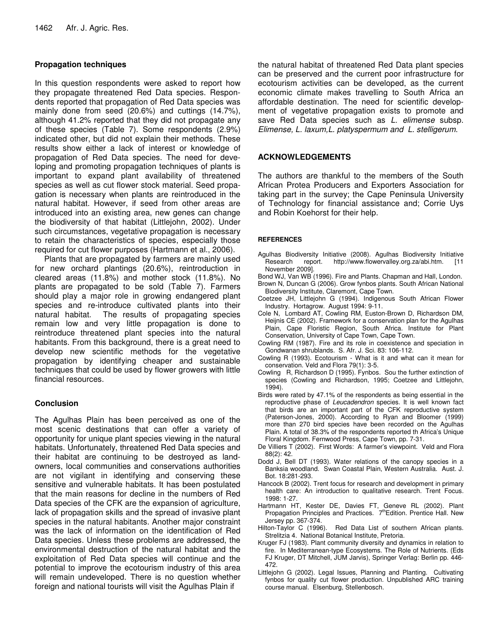### **Propagation techniques**

In this question respondents were asked to report how they propagate threatened Red Data species. Respondents reported that propagation of Red Data species was mainly done from seed (20.6%) and cuttings (14.7%), although 41.2% reported that they did not propagate any of these species (Table 7). Some respondents (2.9%) indicated other, but did not explain their methods. These results show either a lack of interest or knowledge of propagation of Red Data species. The need for developing and promoting propagation techniques of plants is important to expand plant availability of threatened species as well as cut flower stock material. Seed propagation is necessary when plants are reintroduced in the natural habitat. However, if seed from other areas are introduced into an existing area, new genes can change the biodiversity of that habitat (Littlejohn, 2002). Under such circumstances, vegetative propagation is necessary to retain the characteristics of species, especially those required for cut flower purposes (Hartmann et al., 2006).

Plants that are propagated by farmers are mainly used for new orchard plantings (20.6%), reintroduction in cleared areas (11.8%) and mother stock (11.8%). No plants are propagated to be sold (Table 7). Farmers should play a major role in growing endangered plant species and re-introduce cultivated plants into their natural habitat. The results of propagating species remain low and very little propagation is done to reintroduce threatened plant species into the natural habitants. From this background, there is a great need to develop new scientific methods for the vegetative propagation by identifying cheaper and sustainable techniques that could be used by flower growers with little financial resources.

#### **Conclusion**

The Agulhas Plain has been perceived as one of the most scenic destinations that can offer a variety of opportunity for unique plant species viewing in the natural habitats. Unfortunately, threatened Red Data species and their habitat are continuing to be destroyed as landowners, local communities and conservations authorities are not vigilant in identifying and conserving these sensitive and vulnerable habitats. It has been postulated that the main reasons for decline in the numbers of Red Data species of the CFK are the expansion of agriculture, lack of propagation skills and the spread of invasive plant species in the natural habitants. Another major constraint was the lack of information on the identification of Red Data species. Unless these problems are addressed, the environmental destruction of the natural habitat and the exploitation of Red Data species will continue and the potential to improve the ecotourism industry of this area will remain undeveloped. There is no question whether foreign and national tourists will visit the Agulhas Plain if

the natural habitat of threatened Red Data plant species can be preserved and the current poor infrastructure for ecotourism activities can be developed, as the current economic climate makes travelling to South Africa an affordable destination. The need for scientific development of vegetative propagation exists to promote and save Red Data species such as *L. elimense* subsp. *Elimense, L. laxum,L. platyspermum and L. stelligerum*.

### **ACKNOWLEDGEMENTS**

The authors are thankful to the members of the South African Protea Producers and Exporters Association for taking part in the survey; the Cape Peninsula University of Technology for financial assistance and; Corrie Uys and Robin Koehorst for their help.

#### **REFERENCES**

- Agulhas Biodiversity Initiative (2008). Agulhas Biodiversity Initiative Research report. http://www.flowervalley.org.za/abi.htm. [11 November 2009].
- Bond WJ, Van WB (1996). Fire and Plants*.* Chapman and Hall, London.
- Brown N, Duncan G (2006). Grow fynbos plants. South African National Biodiversity Institute, Claremont, Cape Town.
- Coetzee JH, Littlejohn G (1994). Indigenous South African Flower Industry. Hortagrow*.* August 1994: 9-11.
- Cole N, Lombard AT, Cowling RM, Euston-Brown D, Richardson DM, Heijnis CE (2002). Framework for a conservation plan for the Agulhas Plain, Cape Floristic Region, South Africa. Institute for Plant Conservation, University of Cape Town, Cape Town.
- Cowling RM (1987). Fire and its role in coexistence and speciation in Gondwanan shrublands. S. Afr. J. Sci. 83: 106-112.
- Cowling R (1993). Ecotourism What is it and what can it mean for conservation. Veld and Flora 79(1): 3-5.
- Cowling R, Richardson D (1995). Fynbos. Sou the further extinction of species (Cowling and Richardson, 1995; Coetzee and Littlejohn, 1994).
- Birds were rated by 47.1% of the respondents as being essential in the reproductive phase of *Leucadendron* species. It is well known fact that birds are an important part of the CFK reproductive system (Paterson-Jones, 2000). According to Ryan and Bloomer (1999) more than 270 bird species have been recorded on the Agulhas Plain. A total of 38.3% of the respondents reported th Africa's Unique Floral Kingdom*.* Fernwood Press, Cape Town, pp. 7-31.
- De Villiers T (2002). First Words: A farmer's viewpoint. Veld and Flora 88(2): 42.
- Dodd J, Bell DT (1993). Water relations of the canopy species in a Banksia woodland. Swan Coastal Plain, Western Australia. Aust. J. Bot. 18:281-293.
- Hancock B (2002). Trent focus for research and development in primary health care: An introduction to qualitative research. Trent Focus*.* 1998: 1-27.
- Hartmann HT, Kester DE, Davies FT, Geneve RL (2002). Plant Propagation Principles and Practices. 7<sup>th</sup>Edition. Prentice Hall. New Jersey pp. 367-374.
- Hilton-Taylor C (1996). Red Data List of southern African plants. Strelitzia 4. National Botanical Institute, Pretoria.
- Kruger FJ (1983). Plant community diversity and dynamics in relation to fire. In Mediterranean-type Ecosystems. The Role of Nutrients. (Eds FJ Kruger, DT Mitchell, JUM Jarvis), Springer Verlag: Berlin pp. 446- 472.
- Littlejohn G (2002). Legal Issues, Planning and Planting. Cultivating fynbos for quality cut flower production. Unpublished ARC training course manual. Elsenburg, Stellenbosch.